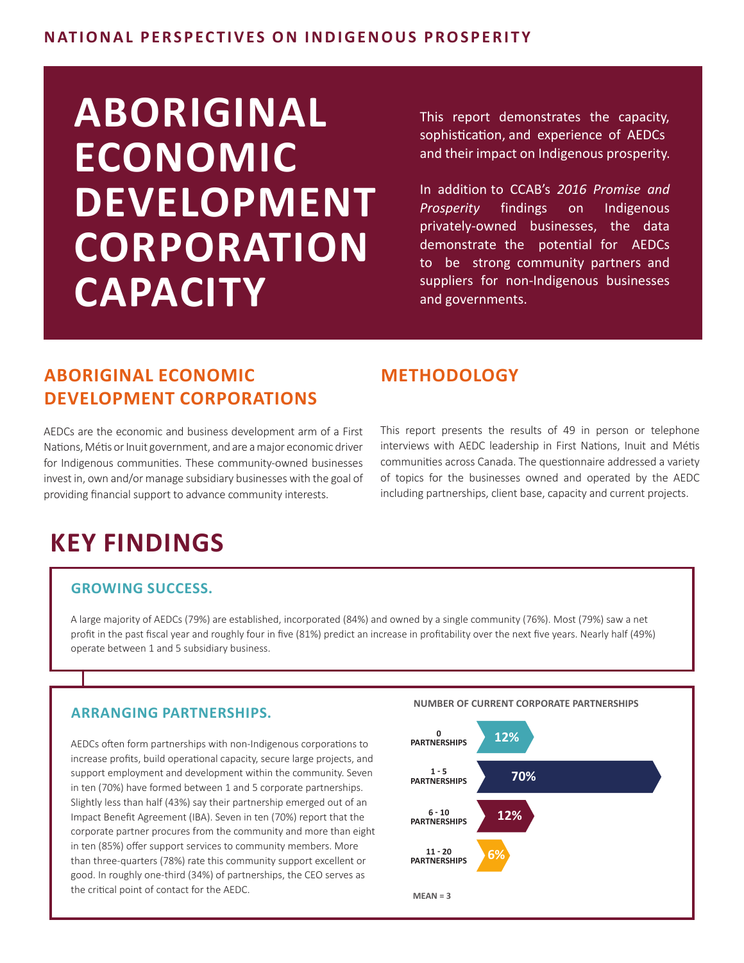### **NATIONAL PERSPECTIVES ON INDIGENOUS PROSPERITY**

# **ABORIGINAL ECONOMIC DEVELOPMENT CORPORATION CAPACITY**

This report demonstrates the capacity, sophistication, and experience of AEDCs and their impact on Indigenous prosperity.

In addition to CCAB's *2016 Promise and Prosperity* findings on Indigenous privately-owned businesses, the data demonstrate the potential for AEDCs to be strong community partners and suppliers for non-Indigenous businesses and governments.

### **ABORIGINAL ECONOMIC DEVELOPMENT CORPORATIONS**

AEDCs are the economic and business development arm of a First Nations, Métis or Inuit government, and are a major economic driver for Indigenous communities. These community-owned businesses invest in, own and/or manage subsidiary businesses with the goal of providing financial support to advance community interests.

### **METHODOLOGY**

This report presents the results of 49 in person or telephone interviews with AEDC leadership in First Nations, Inuit and Métis communities across Canada. The questionnaire addressed a variety of topics for the businesses owned and operated by the AEDC including partnerships, client base, capacity and current projects.

# **KEY FINDINGS**

### **GROWING SUCCESS.**

A large majority of AEDCs (79%) are established, incorporated (84%) and owned by a single community (76%). Most (79%) saw a net profit in the past fiscal year and roughly four in five (81%) predict an increase in profitability over the next five years. Nearly half (49%) operate between 1 and 5 subsidiary business.

### **ARRANGING PARTNERSHIPS.**

AEDCs often form partnerships with non-Indigenous corporations to increase profits, build operational capacity, secure large projects, and support employment and development within the community. Seven in ten (70%) have formed between 1 and 5 corporate partnerships. Slightly less than half (43%) say their partnership emerged out of an Impact Benefit Agreement (IBA). Seven in ten (70%) report that the corporate partner procures from the community and more than eight in ten (85%) offer support services to community members. More than three-quarters (78%) rate this community support excellent or good. In roughly one-third (34%) of partnerships, the CEO serves as the critical point of contact for the AEDC.



**NUMBER OF CURRENT CORPORATE PARTNERSHIPS**